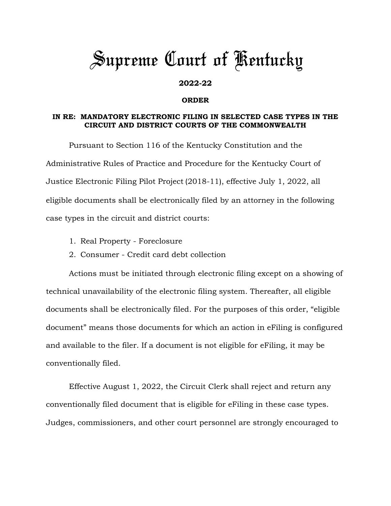## *Supreme Court of Kentucky*

## **2022-22**

## **ORDER**

## **IN RE: MANDATORY ELECTRONIC FILING IN SELECTED CASE TYPES IN THE CIRCUIT AND DISTRICT COURTS OF THE COMMONWEALTH**

Pursuant to Section 116 of the Kentucky Constitution and the Administrative Rules of Practice and Procedure for the Kentucky Court of Justice Electronic Filing Pilot Project (2018-11), effective July 1, 2022, all eligible documents shall be electronically filed by an attorney in the following case types in the circuit and district courts:

- 1. Real Property Foreclosure
- 2. Consumer Credit card debt collection

Actions must be initiated through electronic filing except on a showing of technical unavailability of the electronic filing system. Thereafter, all eligible documents shall be electronically filed. For the purposes of this order, "eligible document" means those documents for which an action in eFiling is configured and available to the filer. If a document is not eligible for eFiling, it may be conventionally filed.

Effective August 1, 2022, the Circuit Clerk shall reject and return any conventionally filed document that is eligible for eFiling in these case types. Judges, commissioners, and other court personnel are strongly encouraged to